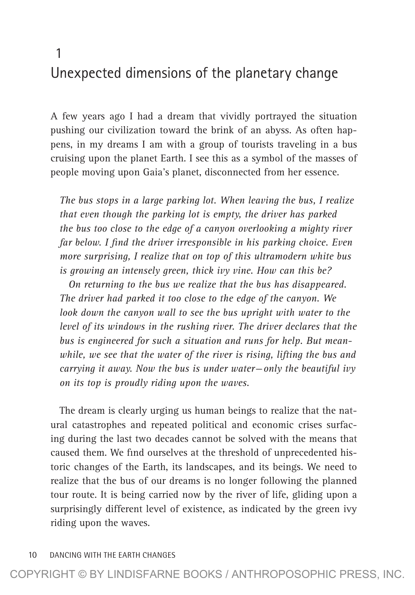## 1 Unexpected dimensions of the planetary change

A few years ago I had a dream that vividly portrayed the situation pushing our civilization toward the brink of an abyss. As often happens, in my dreams I am with a group of tourists traveling in a bus cruising upon the planet Earth. I see this as a symbol of the masses of people moving upon Gaia's planet, disconnected from her essence.

*The bus stops in a large parking lot. When leaving the bus, I realize that even though the parking lot is empty, the driver has parked the bus too close to the edge of a canyon overlooking a mighty river far below. I find the driver irresponsible in his parking choice. Even more surprising, I realize that on top of this ultramodern white bus is growing an intensely green, thick ivy vine. How can this be?*

*On returning to the bus we realize that the bus has disappeared. The driver had parked it too close to the edge of the canyon. We look down the canyon wall to see the bus upright with water to the level of its windows in the rushing river. The driver declares that the bus is engineered for such a situation and runs for help. But meanwhile, we see that the water of the river is rising, lifting the bus and carrying it away. Now the bus is under water*—*only the beautiful ivy on its top is proudly riding upon the waves.*

The dream is clearly urging us human beings to realize that the natural catastrophes and repeated political and economic crises surfacing during the last two decades cannot be solved with the means that caused them. We find ourselves at the threshold of unprecedented historic changes of the Earth, its landscapes, and its beings. We need to realize that the bus of our dreams is no longer following the planned tour route. It is being carried now by the river of life, gliding upon a surprisingly different level of existence, as indicated by the green ivy riding upon the waves.

## 10 DANCING WITH THE EARTH CHANGES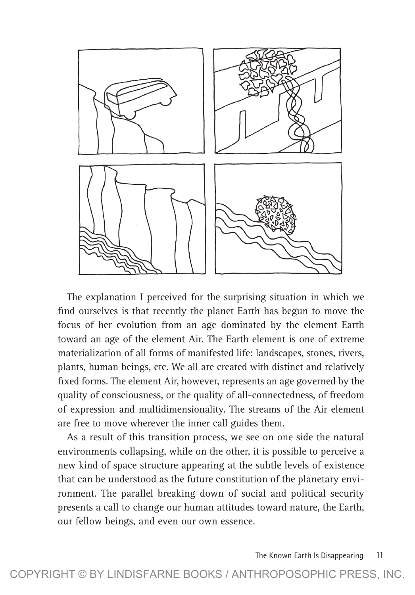

The explanation I perceived for the surprising situation in which we find ourselves is that recently the planet Earth has begun to move the focus of her evolution from an age dominated by the element Earth toward an age of the element Air. The Earth element is one of extreme materialization of all forms of manifested life: landscapes, stones, rivers, plants, human beings, etc. We all are created with distinct and relatively fixed forms. The element Air, however, represents an age governed by the quality of consciousness, or the quality of all-connectedness, of freedom of expression and multidimensionality. The streams of the Air element are free to move wherever the inner call guides them.

As a result of this transition process, we see on one side the natural environments collapsing, while on the other, it is possible to perceive a new kind of space structure appearing at the subtle levels of existence that can be understood as the future constitution of the planetary environment. The parallel breaking down of social and political security presents a call to change our human attitudes toward nature, the Earth, our fellow beings, and even our own essence.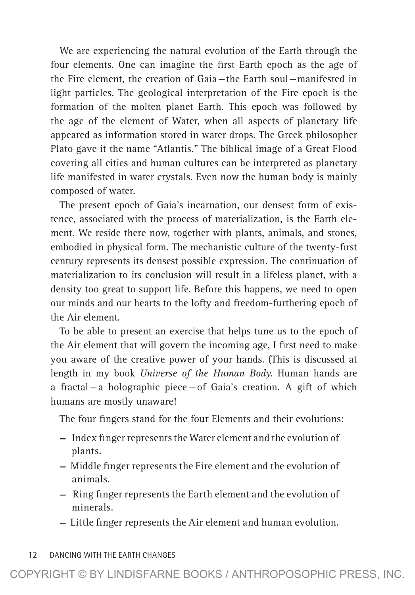We are experiencing the natural evolution of the Earth through the four elements. One can imagine the first Earth epoch as the age of the Fire element, the creation of Gaia—the Earth soul—manifested in light particles. The geological interpretation of the Fire epoch is the formation of the molten planet Earth. This epoch was followed by the age of the element of Water, when all aspects of planetary life appeared as information stored in water drops. The Greek philosopher Plato gave it the name "Atlantis." The biblical image of a Great Flood covering all cities and human cultures can be interpreted as planetary life manifested in water crystals. Even now the human body is mainly composed of water.

The present epoch of Gaia's incarnation, our densest form of existence, associated with the process of materialization, is the Earth element. We reside there now, together with plants, animals, and stones, embodied in physical form. The mechanistic culture of the twenty-first century represents its densest possible expression. The continuation of materialization to its conclusion will result in a lifeless planet, with a density too great to support life. Before this happens, we need to open our minds and our hearts to the lofty and freedom-furthering epoch of the Air element.

To be able to present an exercise that helps tune us to the epoch of the Air element that will govern the incoming age, I first need to make you aware of the creative power of your hands. (This is discussed at length in my book *Universe of the Human Body.* Human hands are a fractal —a holographic piece —of Gaia's creation. A gift of which humans are mostly unaware!

The four fingers stand for the four Elements and their evolutions:

- **—** Index finger represents the Water element and the evolution of plants.
- **—** Middle finger represents the Fire element and the evolution of animals.
- **—** Ring finger represents the Earth element and the evolution of minerals.
- **—** Little finger represents the Air element and human evolution.
- 12 DANCING WITH THE EARTH CHANGES